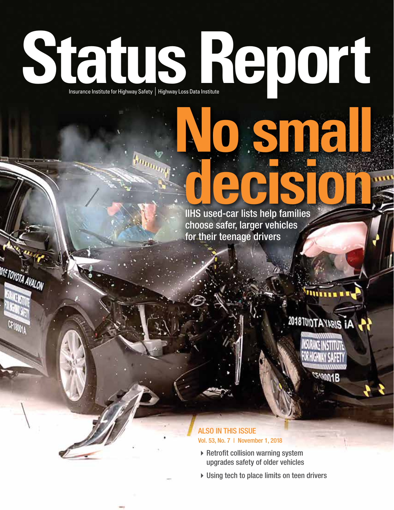# **Status Report Insurance Institute for Highway Safety | Highway Loss Data Institute**

**DISTOYOTA AVALON** 

### **decision** IIHS used-car lists help families choose safer, larger vehicles for their teenage drivers

**No small**



muu

### ALSO IN THIS ISSUE Vol. 53, No. 7 | November 1, 2018

- $\triangleright$  Retrofit collision warning system upgrades safety of older vehicles
- $\triangleright$  Using tech to place limits on teen drivers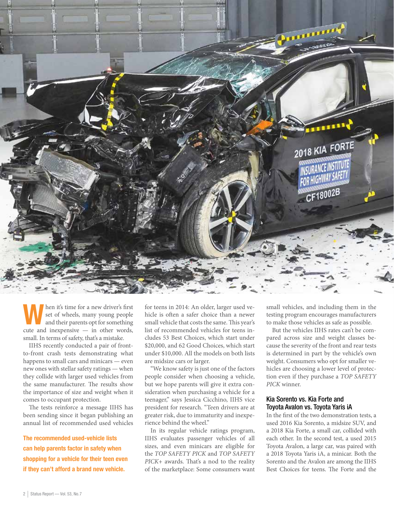

When it's time for a new driver's first<br>
set of wheels, many young people<br>
and their parents opt for something set of wheels, many young people cute and inexpensive — in other words, small. In terms of safety, that's a mistake.

IIHS recently conducted a pair of frontto-front crash tests demonstrating what happens to small cars and minicars — even new ones with stellar safety ratings — when they collide with larger used vehicles from the same manufacturer. The results show the importance of size and weight when it comes to occupant protection.

The tests reinforce a message IIHS has been sending since it began publishing an annual list of recommended used vehicles

The recommended used-vehicle lists can help parents factor in safety when shopping for a vehicle for their teen even if they can't afford a brand new vehicle.

for teens in 2014: An older, larger used vehicle is often a safer choice than a newer small vehicle that costs the same. This year's list of recommended vehicles for teens includes 53 Best Choices, which start under \$20,000, and 62 Good Choices, which start under \$10,000. All the models on both lists are midsize cars or larger.

"We know safety is just one of the factors people consider when choosing a vehicle, but we hope parents will give it extra consideration when purchasing a vehicle for a teenager," says Jessica Cicchino, IIHS vice president for research. "Teen drivers are at greater risk, due to immaturity and inexperience behind the wheel."

In its regular vehicle ratings program, IIHS evaluates passenger vehicles of all sizes, and even minicars are eligible for the *TOP SAFETY PICK* and *TOP SAFETY PICK*+ awards. That's a nod to the reality of the marketplace: Some consumers want small vehicles, and including them in the testing program encourages manufacturers to make those vehicles as safe as possible.

But the vehicles IIHS rates can't be compared across size and weight classes because the severity of the front and rear tests is determined in part by the vehicle's own weight. Consumers who opt for smaller vehicles are choosing a lower level of protection even if they purchase a *TOP SAFETY PICK* winner.

#### Kia Sorento vs. Kia Forte and Toyota Avalon vs. Toyota Yaris iA

In the first of the two demonstration tests, a used 2016 Kia Sorento, a midsize SUV, and a 2018 Kia Forte, a small car, collided with each other. In the second test, a used 2015 Toyota Avalon, a large car, was paired with a 2018 Toyota Yaris iA, a minicar. Both the Sorento and the Avalon are among the IIHS Best Choices for teens. The Forte and the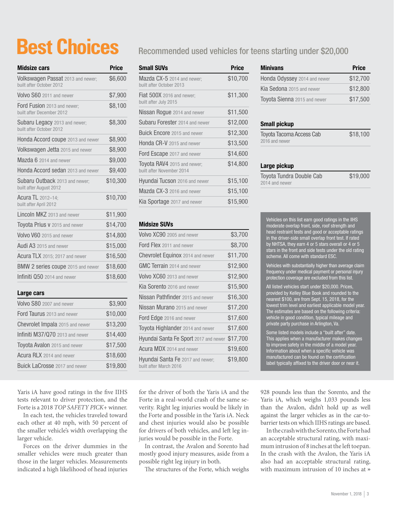# **Best Choices**

| <b>Midsize cars</b>                                              | <b>Price</b> |
|------------------------------------------------------------------|--------------|
| Volkswagen Passat 2013 and newer;<br>built after October 2012    | \$6,600      |
| <b>Volvo S60</b> 2011 and newer                                  | \$7,900      |
| Ford Fusion 2013 and newer;<br>built after December 2012         | \$8,100      |
| <b>Subaru Legacy</b> 2013 and newer;<br>built after October 2012 | \$8,300      |
| <b>Honda Accord coupe</b> 2013 and newer                         | \$8,900      |
| <b>Volkswagen Jetta</b> 2015 and newer                           | \$8,900      |
| Mazda 6 2014 and newer                                           | \$9,000      |
| Honda Accord sedan 2013 and newer                                | \$9,400      |
| Subaru Outback 2013 and newer;<br>built after August 2012        | \$10,300     |
| <b>Acura TL</b> 2012–14;<br>built after April 2012               | \$10,700     |
| Lincoln MKZ 2013 and newer                                       | \$11,900     |
| Toyota Prius v 2015 and newer                                    | \$14,700     |
| Volvo V60 2015 and newer                                         | \$14,800     |
| Audi A3 2015 and newer                                           | \$15,000     |
| Acura TLX 2015; 2017 and newer                                   | \$16,500     |
| BMW 2 series coupe 2015 and newer                                | \$18,600     |
| Infiniti Q50 2014 and newer                                      | \$18,600     |
| Large cars                                                       |              |
| Volvo S80 2007 and newer                                         | \$3,900      |
| <b>Ford Taurus</b> 2013 and newer                                | \$10,000     |
| <b>Chevrolet Impala</b> 2015 and newer                           | \$13,200     |

### Chevrolet Impala 2015 and newer \$13,200 **Infiniti M37/Q70** 2013 and newer \$14,400 Toyota Avalon 2015 and newer \$17,500 **Acura RLX** 2014 and newer **\$18,600** Buick LaCrosse 2017 and newer \$19,800

Yaris iA have good ratings in the five IIHS tests relevant to driver protection, and the Forte is a 2018 *TOP SAFETY PICK*+ winner.

In each test, the vehicles traveled toward each other at 40 mph, with 50 percent of the smaller vehicle's width overlapping the larger vehicle.

Forces on the driver dummies in the smaller vehicles were much greater than those in the larger vehicles. Measurements indicated a high likelihood of head injuries

### Recommended used vehicles for teens starting under \$20,000

| <b>Small SUVs</b>                                               | Price    |
|-----------------------------------------------------------------|----------|
| Mazda CX-5 2014 and newer;<br>built after October 2013          | \$10,700 |
| <b>Fiat 500X</b> 2016 and newer;<br>built after July 2015       | \$11,300 |
| Nissan Rogue 2014 and newer                                     | \$11,500 |
| <b>Subaru Forester</b> 2014 and newer                           | \$12,000 |
| <b>Buick Encore</b> 2015 and newer                              | \$12,300 |
| <b>Honda CR-V</b> 2015 and newer                                | \$13,500 |
| Ford Escape 2017 and newer                                      | \$14,600 |
| <b>Toyota RAV4</b> 2015 and newer;<br>built after November 2014 | \$14,800 |
| <b>Hyundai Tucson</b> 2016 and newer                            | \$15,100 |
| Mazda CX-3 2016 and newer                                       | \$15,100 |
| <b>Kia Sportage</b> 2017 and newer                              | \$15,900 |
|                                                                 |          |

### Midsize SUVs

| Volvo XC90 2005 and newer                                  | \$3,700  |
|------------------------------------------------------------|----------|
| Ford Flex 2011 and newer                                   | \$8,700  |
| Chevrolet Equinox 2014 and newer                           | \$11,700 |
| GMC Terrain 2014 and newer                                 | \$12,900 |
| Volvo XC60 2013 and newer                                  | \$12,900 |
| Kia Sorento 2016 and newer                                 | \$15,900 |
| Nissan Pathfinder 2015 and newer                           | \$16,300 |
| Nissan Murano 2015 and newer                               | \$17,200 |
| Ford Edge 2016 and newer                                   | \$17,600 |
| Toyota Highlander 2014 and newer                           | \$17,600 |
| Hyundai Santa Fe Sport 2017 and newer                      | \$17,700 |
| Acura MDX 2014 and newer                                   | \$19,600 |
| Hyundai Santa Fe 2017 and newer;<br>built after March 2016 | \$19,800 |

for the driver of both the Yaris iA and the Forte in a real-world crash of the same severity. Right leg injuries would be likely in the Forte and possible in the Yaris iA. Neck and chest injuries would also be possible for drivers of both vehicles, and left leg injuries would be possible in the Forte.

In contrast, the Avalon and Sorento had mostly good injury measures, aside from a possible right leg injury in both.

The structures of the Forte, which weighs

| <b>Minivans</b>              | <b>Price</b> |
|------------------------------|--------------|
| Honda Odyssey 2014 and newer | \$12,700     |
| Kia Sedona 2015 and newer    | \$12,800     |
| Toyota Sienna 2015 and newer | \$17,500     |

### Small pickup

| Toyota Tacoma Access Cab | \$18,100 |
|--------------------------|----------|
| 2016 and newer           |          |
|                          |          |

#### Large pickup

| Toyota Tundra Double Cab | \$19,000 |
|--------------------------|----------|
| 2014 and newer           |          |

Vehicles on this list earn good ratings in the IIHS moderate overlap front, side, roof strength and head restraint tests and good or acceptable ratings in the driver-side small overlap front test. If rated by NHTSA, they earn 4 or 5 stars overall or 4 or 5 stars in the front and side tests under the old rating scheme. All come with standard ESC.

Vehicles with substantially higher than average claim frequency under medical payment or personal injury protection coverage are excluded from this list.

All listed vehicles start under \$20,000. Prices, provided by Kelley Blue Book and rounded to the nearest \$100, are from Sept. 15, 2018, for the lowest trim level and earliest applicable model year. The estimates are based on the following criteria: vehicle in good condition, typical mileage and private party purchase in Arlington, Va.

Some listed models include a "built after" date. This applies when a manufacturer makes changes to improve safety in the middle of a model year. Information about when a specific vehicle was manufactured can be found on the certification label typically affixed to the driver door or near it.

928 pounds less than the Sorento, and the Yaris iA, which weighs 1,033 pounds less than the Avalon, didn't hold up as well against the larger vehicles as in the car-tobarrier tests on which IIHS ratings are based.

In the crash with the Sorento, the Forte had an acceptable structural rating, with maximum intrusion of 8 inches at the left toepan. In the crash with the Avalon, the Yaris iA also had an acceptable structural rating, with maximum intrusion of 10 inches at »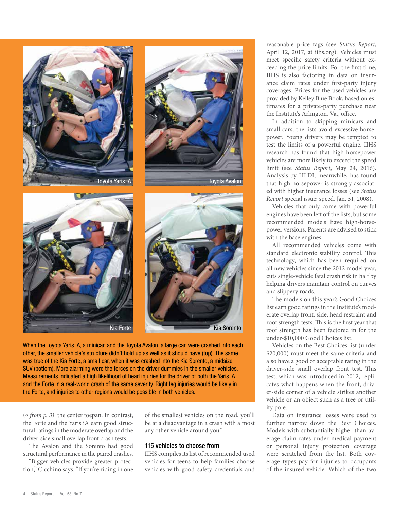







When the Toyota Yaris iA, a minicar, and the Toyota Avalon, a large car, were crashed into each other, the smaller vehicle's structure didn't hold up as well as it should have (top). The same was true of the Kia Forte, a small car, when it was crashed into the Kia Sorento, a midsize SUV (bottom). More alarming were the forces on the driver dummies in the smaller vehicles. Measurements indicated a high likelihood of head injuries for the driver of both the Yaris iA and the Forte in a real-world crash of the same severity. Right leg injuries would be likely in the Forte, and injuries to other regions would be possible in both vehicles.

(« *from p. 3)* the center toepan. In contrast, the Forte and the Yaris iA earn good structural ratings in the moderate overlap and the driver-side small overlap front crash tests.

The Avalon and the Sorento had good structural performance in the paired crashes.

"Bigger vehicles provide greater protection," Cicchino says. "If you're riding in one of the smallest vehicles on the road, you'll be at a disadvantage in a crash with almost any other vehicle around you."

#### 115 vehicles to choose from

IIHS compiles its list of recommended used vehicles for teens to help families choose vehicles with good safety credentials and

reasonable price tags (see *Status Report*, April 12, 2017, at iihs.org). Vehicles must meet specific safety criteria without exceeding the price limits. For the first time, IIHS is also factoring in data on insurance claim rates under first-party injury coverages. Prices for the used vehicles are provided by Kelley Blue Book, based on estimates for a private-party purchase near the Institute's Arlington, Va., office.

In addition to skipping minicars and small cars, the lists avoid excessive horsepower. Young drivers may be tempted to test the limits of a powerful engine. IIHS research has found that high-horsepower vehicles are more likely to exceed the speed limit (see *Status Report*, May 24, 2016). Analysis by HLDI, meanwhile, has found that high horsepower is strongly associated with higher insurance losses (see *Status Report* special issue: speed, Jan. 31, 2008).

Vehicles that only come with powerful engines have been left off the lists, but some recommended models have high-horsepower versions. Parents are advised to stick with the base engines.

All recommended vehicles come with standard electronic stability control. This technology, which has been required on all new vehicles since the 2012 model year, cuts single-vehicle fatal crash risk in half by helping drivers maintain control on curves and slippery roads.

The models on this year's Good Choices list earn good ratings in the Institute's moderate overlap front, side, head restraint and roof strength tests. This is the first year that roof strength has been factored in for the under-\$10,000 Good Choices list.

Vehicles on the Best Choices list (under \$20,000) must meet the same criteria and also have a good or acceptable rating in the driver-side small overlap front test. This test, which was introduced in 2012, replicates what happens when the front, driver-side corner of a vehicle strikes another vehicle or an object such as a tree or utility pole.

Data on insurance losses were used to further narrow down the Best Choices. Models with substantially higher than average claim rates under medical payment or personal injury protection coverage were scratched from the list. Both coverage types pay for injuries to occupants of the insured vehicle. Which of the two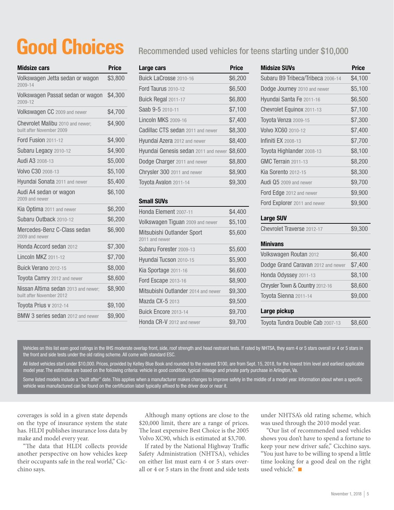# **Good Choices**

| <b>Midsize cars</b>                                                     | <b>Price</b> |
|-------------------------------------------------------------------------|--------------|
| Volkswagen Jetta sedan or wagon<br>2009-14                              | \$3,800      |
| Volkswagen Passat sedan or wagon<br>2009-12                             | \$4,300      |
| Volkswagen CC 2009 and newer                                            | \$4,700      |
| Chevrolet Malibu 2010 and newer;<br>built after November 2009           | \$4,900      |
| <b>Ford Fusion 2011-12</b>                                              | \$4,900      |
| Subaru Legacy 2010-12                                                   | \$4,900      |
| Audi A3 2008-13                                                         | \$5,000      |
| Volvo C30 2008-13                                                       | \$5,100      |
| Hyundai Sonata 2011 and newer                                           | \$5,400      |
| Audi A4 sedan or wagon<br>2009 and newer                                | \$6,100      |
| <b>Kia Optima</b> 2011 and newer                                        | \$6,200      |
| Subaru Outback 2010-12                                                  | \$6,200      |
| Mercedes-Benz C-Class sedan<br>2009 and newer                           | \$6,900      |
| Honda Accord sedan 2012                                                 | \$7,300      |
| <b>Lincoln MKZ 2011-12</b>                                              | \$7,700      |
| <b>Buick Verano</b> 2012-15                                             | \$8,000      |
| <b>Toyota Camry</b> 2012 and newer                                      | \$8,600      |
| <b>Nissan Altima sedan</b> 2013 and newer:<br>built after November 2012 | \$8,900      |
| Toyota Prius y 2012-14                                                  | \$9,100      |
| BMW 3 series sedan 2012 and newer                                       | \$9,900      |

### Recommended used vehicles for teens starting under \$10,000

| Large cars                                  | <b>Price</b> |
|---------------------------------------------|--------------|
| Buick LaCrosse 2010-16                      | \$6,200      |
| Ford Taurus 2010-12                         | \$6,500      |
| Buick Regal 2011-17                         | \$6,800      |
| Saab 9-5 2010-11                            | \$7,100      |
| <b>Lincoln MKS 2009-16</b>                  | \$7,400      |
| Cadillac CTS sedan 2011 and newer           | \$8,300      |
| <b>Hyundai Azera</b> 2012 and newer         | \$8,400      |
| <b>Hyundai Genesis sedan</b> 2011 and newer | \$8,600      |
| Dodge Charger 2011 and newer                | \$8,800      |
| Chrysler 300 2011 and newer                 | \$8,900      |
| Toyota Avalon 2011-14                       | \$9,300      |
|                                             |              |

### Small SUVs

| Honda Element 2007-11                        | \$4,400 |
|----------------------------------------------|---------|
| <b>Volkswagen Tiguan</b> 2009 and newer      | \$5,100 |
| Mitsubishi Outlander Sport<br>2011 and newer | \$5,600 |
| Subaru Forester 2009-13                      | \$5,600 |
| Hyundai Tucson 2010-15                       | \$5,900 |
| Kia Sportage 2011-16                         | \$6,600 |
| <b>Ford Escape 2013-16</b>                   | \$8,900 |
| Mitsubishi Outlander 2014 and newer          | \$9,300 |
| Mazda CX-5 2013                              | \$9,500 |
| Buick Encore 2013-14                         | \$9,700 |
| Honda CR-V 2012 and newer                    | \$9,700 |

| <b>Midsize SUVs</b>               | <b>Price</b> |
|-----------------------------------|--------------|
| Subaru B9 Tribeca/Tribeca 2006-14 | \$4,100      |
| Dodge Journey 2010 and newer      | \$5,100      |
| <b>Hyundai Santa Fe</b> 2011-16   | \$6,500      |
| Chevrolet Equinox 2011-13         | \$7,100      |
| Toyota Venza 2009-15              | \$7,300      |
| Volvo XC60 2010-12                | \$7,400      |
| Infiniti $FX$ 2008-13             | \$7,700      |
| Toyota Highlander 2008-13         | \$8,100      |
| <b>GMC Terrain 2011-13</b>        | \$8,200      |
| <b>Kia Sorento 2012-15</b>        | \$8,300      |
| Audi Q5 2009 and newer            | \$9,700      |
| Ford Edge 2012 and newer          | \$9,900      |
| Ford Explorer 2011 and newer      | \$9,900      |

### Large SUV

| <b>Chevrolet Traverse 2012-17</b> | \$9,300 |
|-----------------------------------|---------|
|-----------------------------------|---------|

### Minivans

| <b>Volkswagen Routan 2012</b>      | \$6,400 |
|------------------------------------|---------|
| Dodge Grand Caravan 2012 and newer | \$7,400 |
| Honda Odyssey 2011-13              | \$8,100 |
| Chrysler Town & Country 2012-16    | \$8,600 |
| Toyota Sienna 2011-14              | \$9,000 |
|                                    |         |

### Large pickup

Toyota Tundra Double Cab 2007-13 \$8,600

Vehicles on this list earn good ratings in the IIHS moderate overlap front, side, roof strength and head restraint tests. If rated by NHTSA, they earn 4 or 5 stars overall or 4 or 5 stars in the front and side tests under the old rating scheme. All come with standard ESC.

All listed vehicles start under \$10,000. Prices, provided by Kelley Blue Book and rounded to the nearest \$100, are from Sept. 15, 2018, for the lowest trim level and earliest applicable model year. The estimates are based on the following criteria: vehicle in good condition, typical mileage and private party purchase in Arlington, Va.

Some listed models include a "built after" date. This applies when a manufacturer makes changes to improve safety in the middle of a model year. Information about when a specific vehicle was manufactured can be found on the certification label typically affixed to the driver door or near it.

coverages is sold in a given state depends on the type of insurance system the state has. HLDI publishes insurance loss data by make and model every year.

"The data that HLDI collects provide another perspective on how vehicles keep their occupants safe in the real world," Cicchino says.

Although many options are close to the \$20,000 limit, there are a range of prices. The least expensive Best Choice is the 2005 Volvo XC90, which is estimated at \$3,700.

If rated by the National Highway Traffic Safety Administration (NHTSA), vehicles on either list must earn 4 or 5 stars overall or 4 or 5 stars in the front and side tests under NHTSA's old rating scheme, which was used through the 2010 model year.

"Our list of recommended used vehicles shows you don't have to spend a fortune to keep your new driver safe," Cicchino says. "You just have to be willing to spend a little time looking for a good deal on the right used vehicle." $\Box$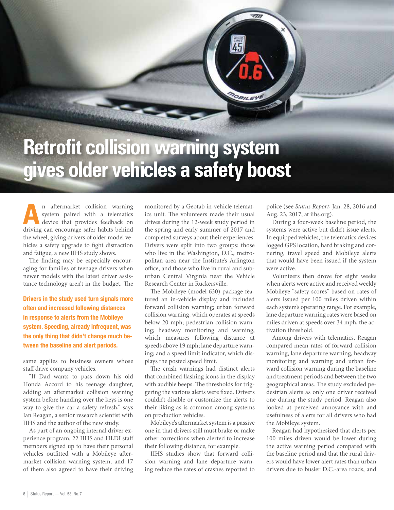# **Retrofit collision warning system gives older vehicles a safety boost**

**An** aftermarket collision warning<br>system paired with a telematics<br>device that provides feedback on system paired with a telematics driving can encourage safer habits behind the wheel, giving drivers of older model vehicles a safety upgrade to fight distraction and fatigue, a new IIHS study shows.

The finding may be especially encouraging for families of teenage drivers when newer models with the latest driver assistance technology aren't in the budget. The

Drivers in the study used turn signals more often and increased following distances in response to alerts from the Mobileye system. Speeding, already infrequent, was the only thing that didn't change much between the baseline and alert periods.

same applies to business owners whose staff drive company vehicles.

"If Dad wants to pass down his old Honda Accord to his teenage daughter, adding an aftermarket collision warning system before handing over the keys is one way to give the car a safety refresh," says Ian Reagan, a senior research scientist with IIHS and the author of the new study.

As part of an ongoing internal driver experience program, 22 IIHS and HLDI staff members signed up to have their personal vehicles outfitted with a Mobileye aftermarket collision warning system, and 17 of them also agreed to have their driving monitored by a Geotab in-vehicle telematics unit. The volunteers made their usual drives during the 12-week study period in the spring and early summer of 2017 and completed surveys about their experiences. Drivers were split into two groups: those who live in the Washington, D.C., metropolitan area near the Institute's Arlington office, and those who live in rural and suburban Central Virginia near the Vehicle Research Center in Ruckersville.

DOBILEY

The Mobileye (model 630) package featured an in-vehicle display and included forward collision warning; urban forward collision warning, which operates at speeds below 20 mph; pedestrian collision warning; headway monitoring and warning, which measures following distance at speeds above 19 mph; lane departure warning; and a speed limit indicator, which displays the posted speed limit.

The crash warnings had distinct alerts that combined flashing icons in the display with audible beeps. The thresholds for triggering the various alerts were fixed. Drivers couldn't disable or customize the alerts to their liking as is common among systems on production vehicles.

Mobileye's aftermarket system is a passive one in that drivers still must brake or make other corrections when alerted to increase their following distance, for example.

IIHS studies show that forward collision warning and lane departure warning reduce the rates of crashes reported to police (see *Status Report*, Jan. 28, 2016 and Aug. 23, 2017, at iihs.org).

During a four-week baseline period, the systems were active but didn't issue alerts. In equipped vehicles, the telematics devices logged GPS location, hard braking and cornering, travel speed and Mobileye alerts that would have been issued if the system were active.

Volunteers then drove for eight weeks when alerts were active and received weekly Mobileye "safety scores" based on rates of alerts issued per 100 miles driven within each system's operating range. For example, lane departure warning rates were based on miles driven at speeds over 34 mph, the activation threshold.

Among drivers with telematics, Reagan compared mean rates of forward collision warning, lane departure warning, headway monitoring and warning and urban forward collision warning during the baseline and treatment periods and between the two geographical areas. The study excluded pedestrian alerts as only one driver received one during the study period. Reagan also looked at perceived annoyance with and usefulness of alerts for all drivers who had the Mobileye system.

Reagan had hypothesized that alerts per 100 miles driven would be lower during the active warning period compared with the baseline period and that the rural drivers would have lower alert rates than urban drivers due to busier D.C.-area roads, and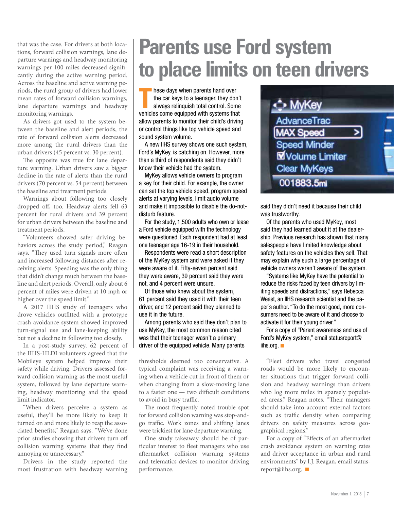that was the case. For drivers at both locations, forward collision warnings, lane departure warnings and headway monitoring warnings per 100 miles decreased significantly during the active warning period. Across the baseline and active warning periods, the rural group of drivers had lower mean rates of forward collision warnings, lane departure warnings and headway monitoring warnings.

As drivers got used to the system between the baseline and alert periods, the rate of forward collision alerts decreased more among the rural drivers than the urban drivers (45 percent vs. 30 percent).

The opposite was true for lane departure warning. Urban drivers saw a bigger decline in the rate of alerts than the rural drivers (70 percent vs. 54 percent) between the baseline and treatment periods.

Warnings about following too closely dropped off, too. Headway alerts fell 63 percent for rural drivers and 39 percent for urban drivers between the baseline and treatment periods.

"Volunteers showed safer driving behaviors across the study period," Reagan says. "They used turn signals more often and increased following distances after receiving alerts. Speeding was the only thing that didn't change much between the baseline and alert periods. Overall, only about 6 percent of miles were driven at 10 mph or higher over the speed limit."

A 2017 IIHS study of teenagers who drove vehicles outfitted with a prototype crash avoidance system showed improved turn-signal use and lane-keeping ability but not a decline in following too closely.

In a post-study survey, 62 percent of the IIHS-HLDI volunteers agreed that the Mobileye system helped improve their safety while driving. Drivers assessed forward collision warning as the most useful system, followed by lane departure warning, headway monitoring and the speed limit indicator.

"When drivers perceive a system as useful, they'll be more likely to keep it turned on and more likely to reap the associated benefits," Reagan says. "We've done prior studies showing that drivers turn off collision warning systems that they find annoying or unnecessary."

Drivers in the study reported the most frustration with headway warning

# **Parents use Ford system to place limits on teen drivers**

These days when parents hand over<br>the car keys to a teenager, they don't<br>always relinquish total control. Some<br>vehicles come equipped with systems that hese days when parents hand over the car keys to a teenager, they don't always relinquish total control. Some allow parents to monitor their child's driving or control things like top vehicle speed and sound system volume.

A new IIHS survey shows one such system, Ford's MyKey, is catching on. However, more than a third of respondents said they didn't know their vehicle had the system.

MyKey allows vehicle owners to program a key for their child. For example, the owner can set the top vehicle speed, program speed alerts at varying levels, limit audio volume and make it impossible to disable the do-notdisturb feature.

For the study, 1,500 adults who own or lease a Ford vehicle equipped with the technology were questioned. Each respondent had at least one teenager age 16-19 in their household.

Respondents were read a short description of the MyKey system and were asked if they were aware of it. Fifty-seven percent said they were aware, 39 percent said they were not, and 4 percent were unsure.

Of those who knew about the system, 61 percent said they used it with their teen driver, and 12 percent said they planned to use it in the future.

Among parents who said they don't plan to use MyKey, the most common reason cited was that their teenager wasn't a primary driver of the equipped vehicle. Many parents

thresholds deemed too conservative. A typical complaint was receiving a warning when a vehicle cut in front of them or when changing from a slow-moving lane to a faster one — two difficult conditions to avoid in busy traffic.

The most frequently noted trouble spot for forward collision warning was stop-andgo traffic. Work zones and shifting lanes were trickiest for lane departure warning.

One study takeaway should be of particular interest to fleet managers who use aftermarket collision warning systems and telematics devices to monitor driving performance.

| MyKey                   |  |
|-------------------------|--|
| AdvanceTrac             |  |
| <b>MAX Speed</b>        |  |
| <b>Speed Minder</b>     |  |
| <b>M</b> Volume Limiter |  |
| <b>Clear MyKeys</b>     |  |
| 001883.5mi              |  |

said they didn't need it because their child was trustworthy.

Of the parents who used MyKey, most said they had learned about it at the dealership. Previous research has shown that many salespeople have limited knowledge about safety features on the vehicles they sell. That may explain why such a large percentage of vehicle owners weren't aware of the system.

"Systems like MyKey have the potential to reduce the risks faced by teen drivers by limiting speeds and distractions," says Rebecca Weast, an IIHS research scientist and the paper's author. "To do the most good, more consumers need to be aware of it and choose to activate it for their young driver."

For a copy of "Parent awareness and use of Ford's MyKey system," email statusreport@ iihs.org.  $\blacksquare$ 

"Fleet drivers who travel congested roads would be more likely to encounter situations that trigger forward collision and headway warnings than drivers who log more miles in sparsely populated areas," Reagan notes. "Their managers should take into account external factors such as traffic density when comparing drivers on safety measures across geographical regions."

For a copy of "Effects of an aftermarket crash avoidance system on warning rates and driver acceptance in urban and rural environments" by I.J. Reagan, email statusreport@iihs.org.  $\blacksquare$